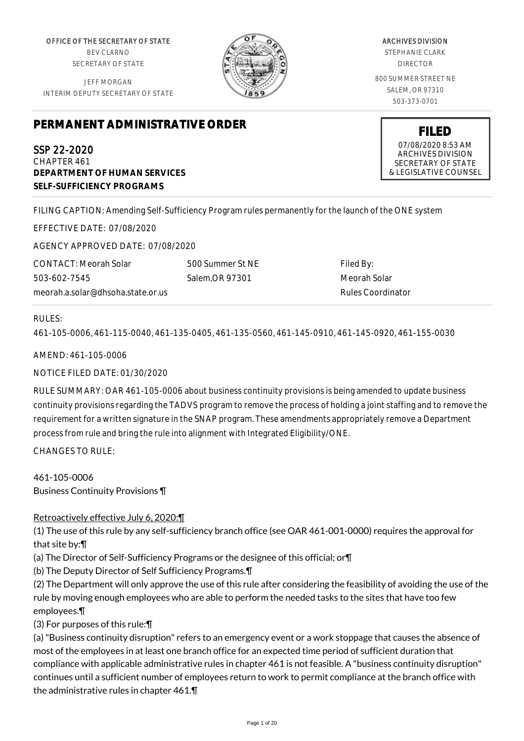OFFICE OF THE SECRETARY OF STATE BEV CLARNO SECRETARY OF STATE

JEFF MORGAN INTERIM DEPUTY SECRETARY OF STATE



ARCHIVES DIVISION STEPHANIE CLARK DIRECTOR 800 SUMMER STREET NE SALEM, OR 97310 503-373-0701

> **FILED** 07/08/2020 8:53 AM ARCHIVES DIVISION SECRETARY OF STATE & LEGISLATIVE COUNSEL

# **PERMANENT ADMINISTRATIVE ORDER**

SSP 22-2020 CHAPTER 461 **DEPARTMENT OF HUMAN SERVICES SELF-SUFFICIENCY PROGRAMS**

FILING CAPTION: Amending Self-Sufficiency Program rules permanently for the launch of the ONE system

EFFECTIVE DATE: 07/08/2020

AGENCY APPROVED DATE: 07/08/2020

CONTACT: Meorah Solar 503-602-7545 meorah.a.solar@dhsoha.state.or.us 500 Summer St NE Salem,OR 97301

Filed By: Meorah Solar Rules Coordinator

#### RULES:

461-105-0006, 461-115-0040, 461-135-0405, 461-135-0560, 461-145-0910, 461-145-0920, 461-155-0030

AMEND: 461-105-0006

NOTICE FILED DATE: 01/30/2020

RULE SUMMARY: OAR 461-105-0006 about business continuity provisions is being amended to update business continuity provisions regarding the TADVS program to remove the process of holding a joint staffing and to remove the requirement for a written signature in the SNAP program. These amendments appropriately remove a Department process from rule and bring the rule into alignment with Integrated Eligibility/ONE.

CHANGES TO RULE:

461-105-0006 Business Continuity Provisions ¶

## Retroactively effective July 6, 2020:¶

(1) The use of this rule by any self-sufficiency branch office (see OAR 461-001-0000) requires the approval for that site by:¶

(a) The Director of Self-Sufficiency Programs or the designee of this official; or¶

(b) The Deputy Director of Self Sufficiency Programs.¶

(2) The Department will only approve the use of this rule after considering the feasibility of avoiding the use of the rule by moving enough employees who are able to perform the needed tasks to the sites that have too few employees.¶

(3) For purposes of this rule:¶

(a) "Business continuity disruption" refers to an emergency event or a work stoppage that causes the absence of most of the employees in at least one branch office for an expected time period of sufficient duration that compliance with applicable administrative rules in chapter 461 is not feasible. A "business continuity disruption" continues until a sufficient number of employees return to work to permit compliance at the branch office with the administrative rules in chapter 461.¶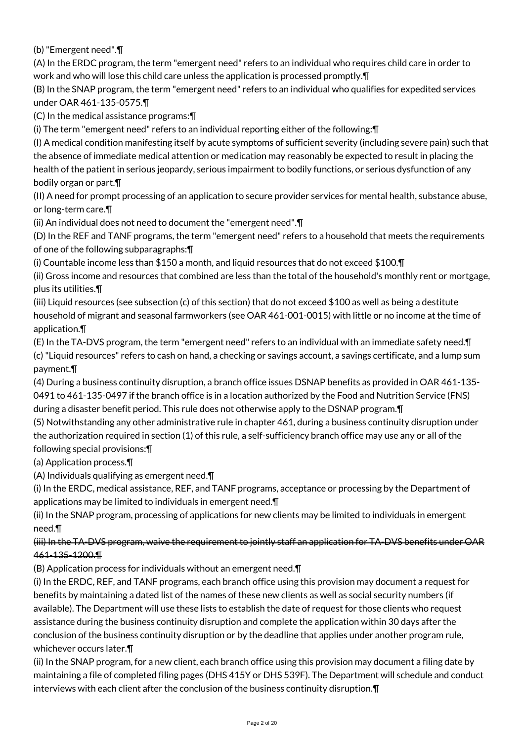(b) "Emergent need".¶

(A) In the ERDC program, the term "emergent need" refers to an individual who requires child care in order to work and who will lose this child care unless the application is processed promptly.¶

(B) In the SNAP program, the term "emergent need" refers to an individual who qualifies for expedited services under OAR 461-135-0575.¶

(C) In the medical assistance programs:¶

(i) The term "emergent need" refers to an individual reporting either of the following:¶

(I) A medical condition manifesting itself by acute symptoms of sufficient severity (including severe pain) such that the absence of immediate medical attention or medication may reasonably be expected to result in placing the health of the patient in serious jeopardy, serious impairment to bodily functions, or serious dysfunction of any bodily organ or part.¶

(II) A need for prompt processing of an application to secure provider services for mental health, substance abuse, or long-term care.¶

(ii) An individual does not need to document the "emergent need".¶

(D) In the REF and TANF programs, the term "emergent need" refers to a household that meets the requirements of one of the following subparagraphs:¶

(i) Countable income less than \$150 a month, and liquid resources that do not exceed \$100.¶

(ii) Gross income and resources that combined are less than the total of the household's monthly rent or mortgage, plus its utilities.¶

(iii) Liquid resources (see subsection (c) of this section) that do not exceed \$100 as well as being a destitute household of migrant and seasonal farmworkers (see OAR 461-001-0015) with little or no income at the time of application.¶

(E) In the TA-DVS program, the term "emergent need" refers to an individual with an immediate safety need.¶ (c) "Liquid resources" refers to cash on hand, a checking or savings account, a savings certificate, and a lump sum payment.¶

(4) During a business continuity disruption, a branch office issues DSNAP benefits as provided in OAR 461-135- 0491 to 461-135-0497 if the branch office is in a location authorized by the Food and Nutrition Service (FNS) during a disaster benefit period. This rule does not otherwise apply to the DSNAP program.¶

(5) Notwithstanding any other administrative rule in chapter 461, during a business continuity disruption under the authorization required in section (1) of this rule, a self-sufficiency branch office may use any or all of the following special provisions:¶

(a) Application process.¶

(A) Individuals qualifying as emergent need.¶

(i) In the ERDC, medical assistance, REF, and TANF programs, acceptance or processing by the Department of applications may be limited to individuals in emergent need.¶

(ii) In the SNAP program, processing of applications for new clients may be limited to individuals in emergent need.¶

# (iii) In the TA-DVS program, waive the requirement to jointly staff an application for TA-DVS benefits under OAR 461-135-1200.¶

(B) Application process for individuals without an emergent need.¶

(i) In the ERDC, REF, and TANF programs, each branch office using this provision may document a request for benefits by maintaining a dated list of the names of these new clients as well as social security numbers (if available). The Department will use these lists to establish the date of request for those clients who request assistance during the business continuity disruption and complete the application within 30 days after the conclusion of the business continuity disruption or by the deadline that applies under another program rule, whichever occurs later.¶

(ii) In the SNAP program, for a new client, each branch office using this provision may document a filing date by maintaining a file of completed filing pages (DHS 415Y or DHS 539F). The Department will schedule and conduct interviews with each client after the conclusion of the business continuity disruption.¶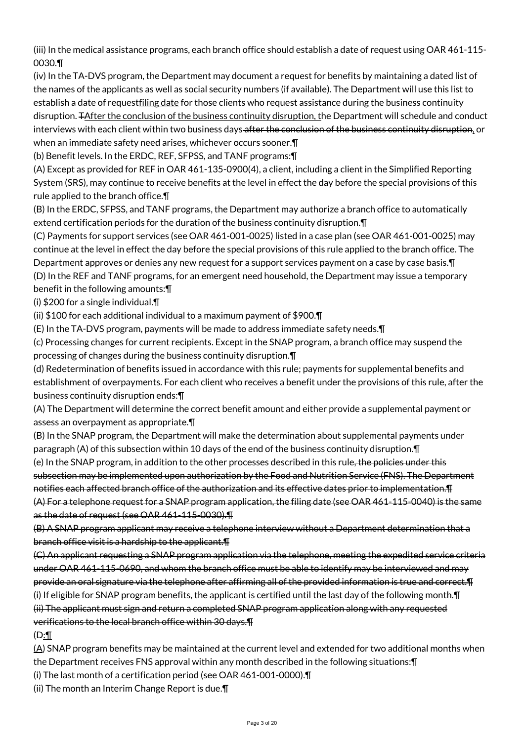(iii) In the medical assistance programs, each branch office should establish a date of request using OAR 461-115- 0030.¶

(iv) In the TA-DVS program, the Department may document a request for benefits by maintaining a dated list of the names of the applicants as well as social security numbers (if available). The Department will use this list to establish a date of requestfiling date for those clients who request assistance during the business continuity disruption. TAfter the conclusion of the business continuity disruption, the Department will schedule and conduct interviews with each client within two business days-after the conclusion of the business continuity disruption, or when an immediate safety need arises, whichever occurs sooner.¶

(b) Benefit levels. In the ERDC, REF, SFPSS, and TANF programs:¶

(A) Except as provided for REF in OAR 461-135-0900(4), a client, including a client in the Simplified Reporting System (SRS), may continue to receive benefits at the level in effect the day before the special provisions of this rule applied to the branch office.¶

(B) In the ERDC, SFPSS, and TANF programs, the Department may authorize a branch office to automatically extend certification periods for the duration of the business continuity disruption.¶

(C) Payments for support services (see OAR 461-001-0025) listed in a case plan (see OAR 461-001-0025) may continue at the level in effect the day before the special provisions of this rule applied to the branch office. The Department approves or denies any new request for a support services payment on a case by case basis.¶ (D) In the REF and TANF programs, for an emergent need household, the Department may issue a temporary benefit in the following amounts:¶

(i) \$200 for a single individual.¶

(ii) \$100 for each additional individual to a maximum payment of \$900.¶

(E) In the TA-DVS program, payments will be made to address immediate safety needs.¶

(c) Processing changes for current recipients. Except in the SNAP program, a branch office may suspend the processing of changes during the business continuity disruption.¶

(d) Redetermination of benefits issued in accordance with this rule; payments for supplemental benefits and establishment of overpayments. For each client who receives a benefit under the provisions of this rule, after the business continuity disruption ends:¶

(A) The Department will determine the correct benefit amount and either provide a supplemental payment or assess an overpayment as appropriate.¶

(B) In the SNAP program, the Department will make the determination about supplemental payments under paragraph (A) of this subsection within 10 days of the end of the business continuity disruption.¶

(e) In the SNAP program, in addition to the other processes described in this rule, the policies under this subsection may be implemented upon authorization by the Food and Nutrition Service (FNS). The Department notifies each affected branch office of the authorization and its effective dates prior to implementation.¶ (A) For a telephone request for a SNAP program application, the filing date (see OAR 461-115-0040) is the same as the date of request (see OAR 461-115-0030).¶

(B) A SNAP program applicant may receive a telephone interview without a Department determination that a branch office visit is a hardship to the applicant.¶

(C) An applicant requesting a SNAP program application via the telephone, meeting the expedited service criteria under OAR 461-115-0690, and whom the branch office must be able to identify may be interviewed and may provide an oral signature via the telephone after affirming all of the provided information is true and correct.¶ (i) If eligible for SNAP program benefits, the applicant is certified until the last day of the following month.¶ (ii) The applicant must sign and return a completed SNAP program application along with any requested verifications to the local branch office within 30 days.¶

 $\bigoplus$ :

 $(A)$  SNAP program benefits may be maintained at the current level and extended for two additional months when the Department receives FNS approval within any month described in the following situations:¶

(i) The last month of a certification period (see OAR 461-001-0000).¶

(ii) The month an Interim Change Report is due.¶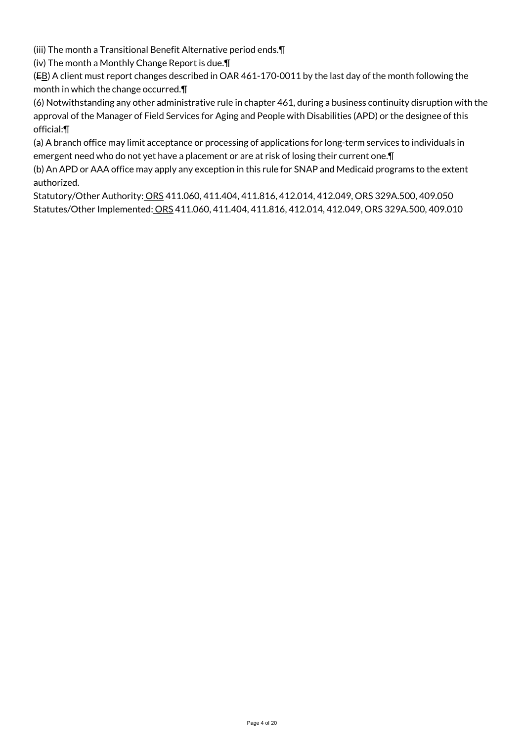(iii) The month a Transitional Benefit Alternative period ends.¶

(iv) The month a Monthly Change Report is due.¶

(EB) A client must report changes described in OAR 461-170-0011 by the last day of the month following the month in which the change occurred.¶

(6) Notwithstanding any other administrative rule in chapter 461, during a business continuity disruption with the approval of the Manager of Field Services for Aging and People with Disabilities (APD) or the designee of this official:¶

(a) A branch office may limit acceptance or processing of applications for long-term services to individuals in emergent need who do not yet have a placement or are at risk of losing their current one.¶

(b) An APD or AAA office may apply any exception in this rule for SNAP and Medicaid programs to the extent authorized.

Statutory/Other Authority: ORS 411.060, 411.404, 411.816, 412.014, 412.049, ORS 329A.500, 409.050 Statutes/Other Implemented: ORS 411.060, 411.404, 411.816, 412.014, 412.049, ORS 329A.500, 409.010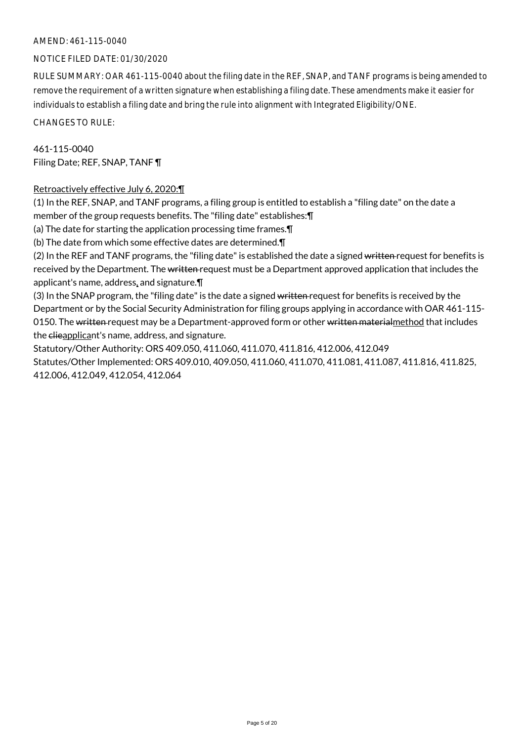#### AMEND: 461-115-0040

## NOTICE FILED DATE: 01/30/2020

RULE SUMMARY: OAR 461-115-0040 about the filing date in the REF, SNAP, and TANF programs is being amended to remove the requirement of a written signature when establishing a filing date. These amendments make it easier for individuals to establish a filing date and bring the rule into alignment with Integrated Eligibility/ONE.

CHANGES TO RULE:

461-115-0040 Filing Date; REF, SNAP, TANF ¶

## Retroactively effective July 6, 2020:¶

(1) In the REF, SNAP, and TANF programs, a filing group is entitled to establish a "filing date" on the date a member of the group requests benefits. The "filing date" establishes:¶ (a) The date for starting the application processing time frames.¶ (b) The date from which some effective dates are determined.¶ (2) In the REF and TANF programs, the "filing date" is established the date a signed written request for benefits is received by the Department. The written request must be a Department approved application that includes the applicant's name, address, and signature.¶ (3) In the SNAP program, the "filing date" is the date a signed written request for benefits is received by the

Department or by the Social Security Administration for filing groups applying in accordance with OAR 461-115- 0150. The written request may be a Department-approved form or other written materialmethod that includes the clieapplicant's name, address, and signature.

Statutory/Other Authority: ORS 409.050, 411.060, 411.070, 411.816, 412.006, 412.049 Statutes/Other Implemented: ORS 409.010, 409.050, 411.060, 411.070, 411.081, 411.087, 411.816, 411.825, 412.006, 412.049, 412.054, 412.064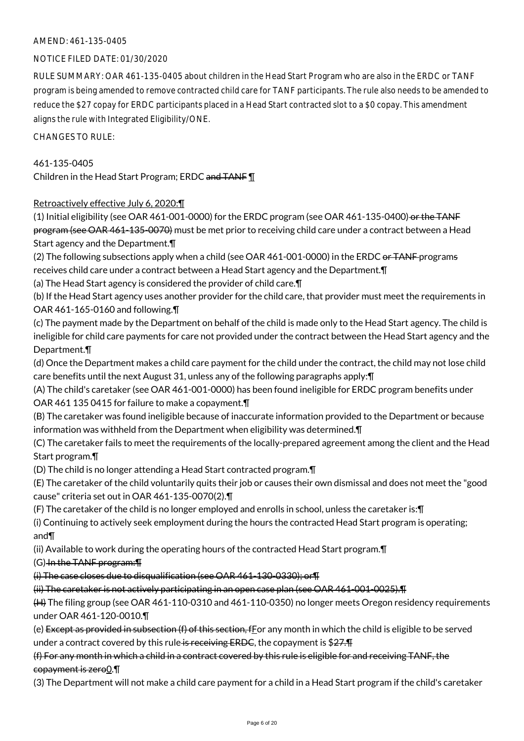## AMEND: 461-135-0405

## NOTICE FILED DATE: 01/30/2020

RULE SUMMARY: OAR 461-135-0405 about children in the Head Start Program who are also in the ERDC or TANF program is being amended to remove contracted child care for TANF participants. The rule also needs to be amended to reduce the \$27 copay for ERDC participants placed in a Head Start contracted slot to a \$0 copay. This amendment aligns the rule with Integrated Eligibility/ONE.

CHANGES TO RULE:

## 461-135-0405

Children in the Head Start Program; ERDC and TANF 1

## Retroactively effective July 6, 2020:¶

(1) Initial eligibility (see OAR 461-001-0000) for the ERDC program (see OAR 461-135-0400) or the TANF program (see OAR 461-135-0070) must be met prior to receiving child care under a contract between a Head Start agency and the Department.¶

(2) The following subsections apply when a child (see OAR  $461$ -001-0000) in the ERDC or TANF programs receives child care under a contract between a Head Start agency and the Department.¶

(a) The Head Start agency is considered the provider of child care.¶

(b) If the Head Start agency uses another provider for the child care, that provider must meet the requirements in OAR 461-165-0160 and following.¶

(c) The payment made by the Department on behalf of the child is made only to the Head Start agency. The child is ineligible for child care payments for care not provided under the contract between the Head Start agency and the Department.¶

(d) Once the Department makes a child care payment for the child under the contract, the child may not lose child care benefits until the next August 31, unless any of the following paragraphs apply:¶

(A) The child's caretaker (see OAR 461-001-0000) has been found ineligible for ERDC program benefits under OAR 461 135 0415 for failure to make a copayment.¶

(B) The caretaker was found ineligible because of inaccurate information provided to the Department or because information was withheld from the Department when eligibility was determined.¶

(C) The caretaker fails to meet the requirements of the locally-prepared agreement among the client and the Head Start program.¶

(D) The child is no longer attending a Head Start contracted program.¶

(E) The caretaker of the child voluntarily quits their job or causes their own dismissal and does not meet the "good cause" criteria set out in OAR 461-135-0070(2).¶

(F) The caretaker of the child is no longer employed and enrolls in school, unless the caretaker is:¶

(i) Continuing to actively seek employment during the hours the contracted Head Start program is operating; and¶

(ii) Available to work during the operating hours of the contracted Head Start program.¶

(G) In the TANF program:¶

(i) The case closes due to disqualification (see OAR 461-130-0330); or¶

(ii) The caretaker is not actively participating in an open case plan (see OAR 461-001-0025).¶

(H) The filing group (see OAR 461-110-0310 and 461-110-0350) no longer meets Oregon residency requirements under OAR 461-120-0010.¶

(e) Except as provided in subsection  $(f)$  of this section, f for any month in which the child is eligible to be served under a contract covered by this rule is receiving ERDC, the copayment is \$27.

# (f) For any month in which a child in a contract covered by this rule is eligible for and receiving TANF, the copayment is zero0.¶

(3) The Department will not make a child care payment for a child in a Head Start program if the child's caretaker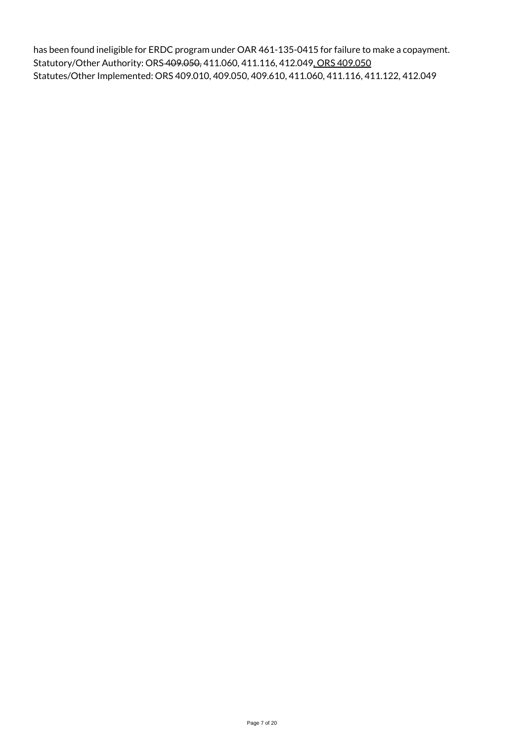has been found ineligible for ERDC program under OAR 461-135-0415 for failure to make a copayment. Statutory/Other Authority: ORS 409.050, 411.060, 411.116, 412.049, ORS 409.050 Statutes/Other Implemented: ORS 409.010, 409.050, 409.610, 411.060, 411.116, 411.122, 412.049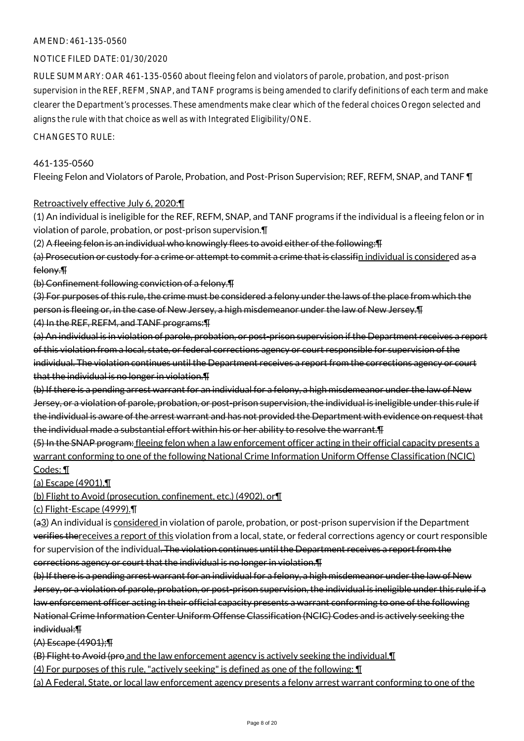## AMEND: 461-135-0560

#### NOTICE FILED DATE: 01/30/2020

RULE SUMMARY: OAR 461-135-0560 about fleeing felon and violators of parole, probation, and post-prison supervision in the REF, REFM, SNAP, and TANF programs is being amended to clarify definitions of each term and make clearer the Department's processes. These amendments make clear which of the federal choices Oregon selected and aligns the rule with that choice as well as with Integrated Eligibility/ONE.

#### CHANGES TO RULE:

#### 461-135-0560

Fleeing Felon and Violators of Parole, Probation, and Post-Prison Supervision; REF, REFM, SNAP, and TANF ¶

#### Retroactively effective July 6, 2020:¶

(1) An individual is ineligible for the REF, REFM, SNAP, and TANF programs if the individual is a fleeing felon or in violation of parole, probation, or post-prison supervision.¶

(2) A fleeing felon is an individual who knowingly flees to avoid either of the following:¶

(a) Prosecution or custody for a crime or attempt to commit a crime that is classifin individual is considered as a felony.¶

(b) Confinement following conviction of a felony.¶

(3) For purposes of this rule, the crime must be considered a felony under the laws of the place from which the person is fleeing or, in the case of New Jersey, a high misdemeanor under the law of New Jersey.¶ (4) In the REF, REFM, and TANF programs:¶

(a) An individual is in violation of parole, probation, or post-prison supervision if the Department receives a report of this violation from a local, state, or federal corrections agency or court responsible for supervision of the individual. The violation continues until the Department receives a report from the corrections agency or court that the individual is no longer in violation.¶

(b) If there is a pending arrest warrant for an individual for a felony, a high misdemeanor under the law of New Jersey, or a violation of parole, probation, or post-prison supervision, the individual is ineligible under this rule if the individual is aware of the arrest warrant and has not provided the Department with evidence on request that the individual made a substantial effort within his or her ability to resolve the warrant.¶

(5) In the SNAP program: fleeing felon when a law enforcement officer acting in their official capacity presents a warrant conforming to one of the following National Crime Information Uniform Offense Classification (NCIC) Codes: ¶

(a) Escape (4901),¶

(b) Flight to Avoid (prosecution, confinement, etc.) (4902), or¶

(c) Flight-Escape (4999).¶

(a3) An individual is considered in violation of parole, probation, or post-prison supervision if the Department verifies thereceives a report of this violation from a local, state, or federal corrections agency or court responsible for supervision of the individual. The violation continues until the Department receives a report from the corrections agency or court that the individual is no longer in violation.¶

(b) If there is a pending arrest warrant for an individual for a felony, a high misdemeanor under the law of New Jersey, or a violation of parole, probation, or post-prison supervision, the individual is ineligible under this rule if a law enforcement officer acting in their official capacity presents a warrant conforming to one of the following National Crime Information Center Uniform Offense Classification (NCIC) Codes and is actively seeking the individual:¶

(A) Escape (4901);¶

(B) Flight to Avoid (pro and the law enforcement agency is actively seeking the individual.¶

(4) For purposes of this rule, "actively seeking" is defined as one of the following: ¶

(a) A Federal, State, or local law enforcement agency presents a felony arrest warrant conforming to one of the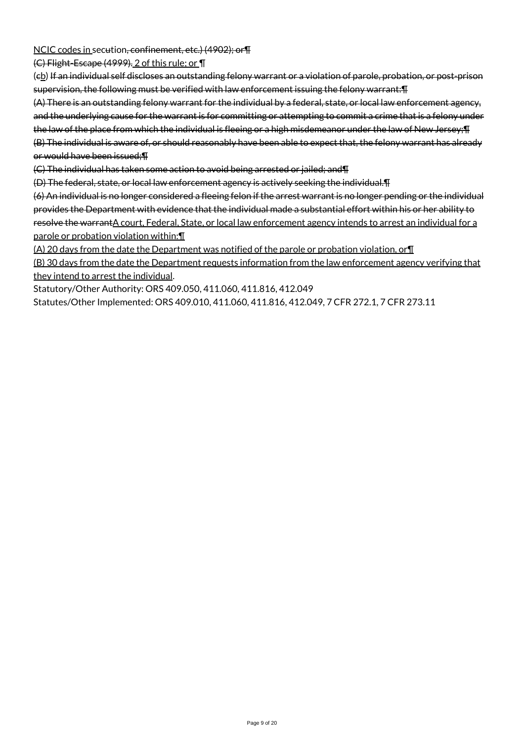NCIC codes in secution, confinement, etc.) (4902); or¶

(C) Flight-Escape (4999). 2 of this rule; or ¶

(eb) If an individual self discloses an outstanding felony warrant or a violation of parole, probation, or post-prison supervision, the following must be verified with law enforcement issuing the felony warrant:¶

(A) There is an outstanding felony warrant for the individual by a federal, state, or local law enforcement agency, and the underlying cause for the warrant is for committing or attempting to commit a crime that is a felony under the law of the place from which the individual is fleeing or a high misdemeanor under the law of New Jersey; [1 (B) The individual is aware of, or should reasonably have been able to expect that, the felony warrant has already or would have been issued;¶

(C) The individual has taken some action to avoid being arrested or jailed; and¶

(D) The federal, state, or local law enforcement agency is actively seeking the individual.¶

(6) An individual is no longer considered a fleeing felon if the arrest warrant is no longer pending or the individual provides the Department with evidence that the individual made a substantial effort within his or her ability to resolve the warrantA court, Federal, State, or local law enforcement agency intends to arrest an individual for a parole or probation violation within:¶

(A) 20 days from the date the Department was notified of the parole or probation violation, or¶

(B) 30 days from the date the Department requests information from the law enforcement agency verifying that they intend to arrest the individual.

Statutory/Other Authority: ORS 409.050, 411.060, 411.816, 412.049

Statutes/Other Implemented: ORS 409.010, 411.060, 411.816, 412.049, 7 CFR 272.1, 7 CFR 273.11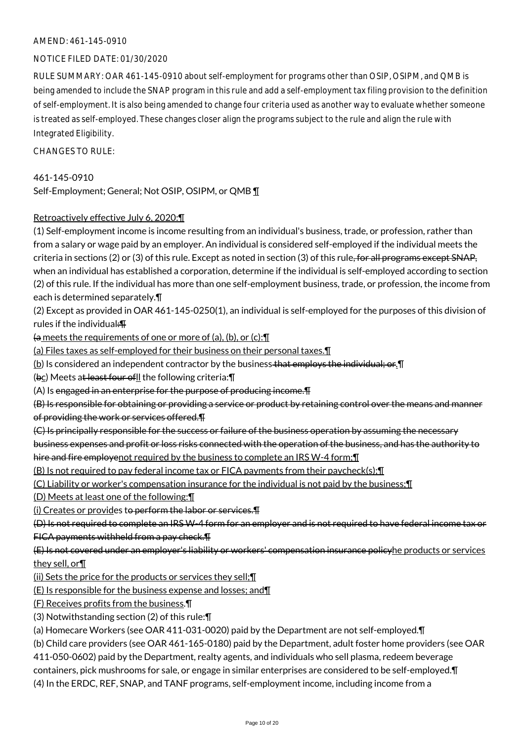#### AMEND: 461-145-0910

## NOTICE FILED DATE: 01/30/2020

RULE SUMMARY: OAR 461-145-0910 about self-employment for programs other than OSIP, OSIPM, and QMB is being amended to include the SNAP program in this rule and add a self-employment tax filing provision to the definition of self-employment. It is also being amended to change four criteria used as another way to evaluate whether someone is treated as self-employed. These changes closer align the programs subject to the rule and align the rule with Integrated Eligibility.

 $CHANGFS TO RIIF$ 

461-145-0910 Self-Employment; General; Not OSIP, OSIPM, or QMB 1

#### Retroactively effective July 6, 2020:¶

(1) Self-employment income is income resulting from an individual's business, trade, or profession, rather than from a salary or wage paid by an employer. An individual is considered self-employed if the individual meets the criteria in sections (2) or (3) of this rule. Except as noted in section (3) of this rule, for all programs except SNAP, when an individual has established a corporation, determine if the individual is self-employed according to section (2) of this rule. If the individual has more than one self-employment business, trade, or profession, the income from each is determined separately.¶

(2) Except as provided in OAR 461-145-0250(1), an individual is self-employed for the purposes of this division of rules if the individual:¶

 $\frac{1}{2}$  meets the requirements of one or more of (a), (b), or (c):  $\P$ 

(a) Files taxes as self-employed for their business on their personal taxes.¶

 $\underline{b}$ ) Is considered an independent contractor by the business that employs the individual; or. If

(bc) Meets at least four of I the following criteria: \[

 $(A)$  Is engaged in an enterprise for the purpose of producing income. $\P$ 

(B) Is responsible for obtaining or providing a service or product by retaining control over the means and manner of providing the work or services offered.¶

(C) Is principally responsible for the success or failure of the business operation by assuming the necessary

business expenses and profit or loss risks connected with the operation of the business, and has the authority to hire and fire employenot required by the business to complete an IRS W-4 form; I

(B) Is not required to pay federal income tax or FICA payments from their paycheck(s);¶

(C) Liability or worker's compensation insurance for the individual is not paid by the business;¶

(D) Meets at least one of the following:¶

(i) Creates or provides to perform the labor or services.¶

(D) Is not required to complete an IRS W-4 form for an employer and is not required to have federal income tax or FICA payments withheld from a pay check.¶

(E) Is not covered under an employer's liability or workers' compensation insurance policyhe products or services they sell, or¶

(ii) Sets the price for the products or services they sell;¶

(E) Is responsible for the business expense and losses; and¶

(F) Receives profits from the business.¶

(3) Notwithstanding section (2) of this rule:¶

(a) Homecare Workers (see OAR 411-031-0020) paid by the Department are not self-employed.¶

(b) Child care providers (see OAR 461-165-0180) paid by the Department, adult foster home providers (see OAR

411-050-0602) paid by the Department, realty agents, and individuals who sell plasma, redeem beverage

containers, pick mushrooms for sale, or engage in similar enterprises are considered to be self-employed.¶

(4) In the ERDC, REF, SNAP, and TANF programs, self-employment income, including income from a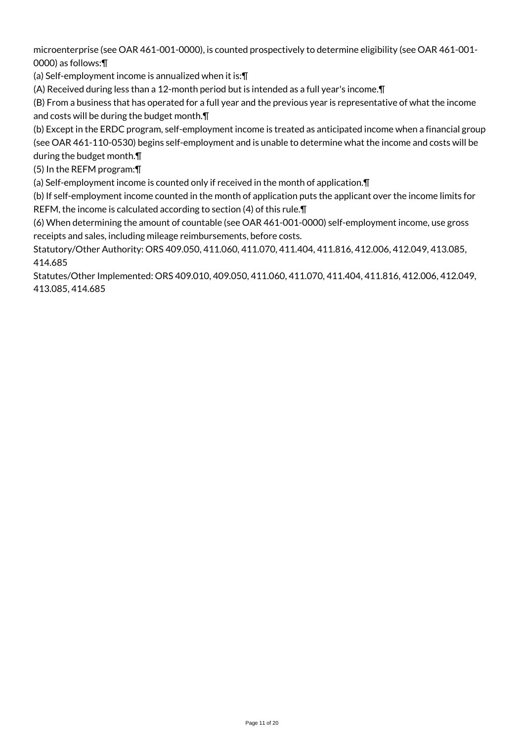microenterprise (see OAR 461-001-0000), is counted prospectively to determine eligibility (see OAR 461-001- 0000) as follows:¶

(a) Self-employment income is annualized when it is:¶

(A) Received during less than a 12-month period but is intended as a full year's income.¶

(B) From a business that has operated for a full year and the previous year is representative of what the income and costs will be during the budget month.¶

(b) Except in the ERDC program, self-employment income is treated as anticipated income when a financial group (see OAR 461-110-0530) begins self-employment and is unable to determine what the income and costs will be

during the budget month.¶

(5) In the REFM program:¶

(a) Self-employment income is counted only if received in the month of application.¶

(b) If self-employment income counted in the month of application puts the applicant over the income limits for REFM, the income is calculated according to section (4) of this rule.¶

(6) When determining the amount of countable (see OAR 461-001-0000) self-employment income, use gross receipts and sales, including mileage reimbursements, before costs.

Statutory/Other Authority: ORS 409.050, 411.060, 411.070, 411.404, 411.816, 412.006, 412.049, 413.085, 414.685

Statutes/Other Implemented: ORS 409.010, 409.050, 411.060, 411.070, 411.404, 411.816, 412.006, 412.049, 413.085, 414.685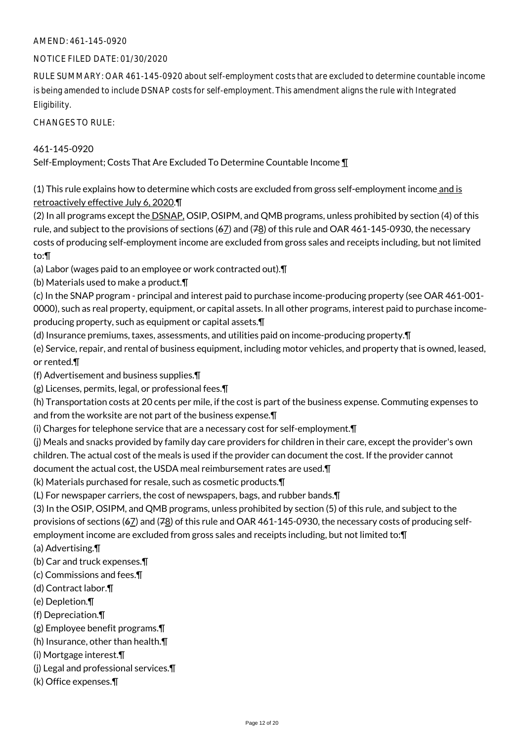## AMEND: 461-145-0920

## NOTICE FILED DATE: 01/30/2020

RULE SUMMARY: OAR 461-145-0920 about self-employment costs that are excluded to determine countable income is being amended to include DSNAP costs for self-employment. This amendment aligns the rule with Integrated Eligibility.

CHANGES TO RULE:

## 461-145-0920

Self-Employment; Costs That Are Excluded To Determine Countable Income ¶

(1) This rule explains how to determine which costs are excluded from gross self-employment income and is retroactively effective July 6, 2020.¶

(2) In all programs except the DSNAP, OSIP, OSIPM, and QMB programs, unless prohibited by section (4) of this rule, and subject to the provisions of sections  $(67)$  and  $(78)$  of this rule and OAR 461-145-0930, the necessary costs of producing self-employment income are excluded from gross sales and receipts including, but not limited to:¶

(a) Labor (wages paid to an employee or work contracted out).¶

(b) Materials used to make a product.¶

(c) In the SNAP program - principal and interest paid to purchase income-producing property (see OAR 461-001- 0000), such as real property, equipment, or capital assets. In all other programs, interest paid to purchase incomeproducing property, such as equipment or capital assets.¶

(d) Insurance premiums, taxes, assessments, and utilities paid on income-producing property.¶

(e) Service, repair, and rental of business equipment, including motor vehicles, and property that is owned, leased, or rented.¶

(f) Advertisement and business supplies.¶

(g) Licenses, permits, legal, or professional fees.¶

(h) Transportation costs at 20 cents per mile, if the cost is part of the business expense. Commuting expenses to and from the worksite are not part of the business expense.¶

(i) Charges for telephone service that are a necessary cost for self-employment.¶

(j) Meals and snacks provided by family day care providers for children in their care, except the provider's own children. The actual cost of the meals is used if the provider can document the cost. If the provider cannot document the actual cost, the USDA meal reimbursement rates are used.¶

(k) Materials purchased for resale, such as cosmetic products.¶

(L) For newspaper carriers, the cost of newspapers, bags, and rubber bands.¶

(3) In the OSIP, OSIPM, and QMB programs, unless prohibited by section (5) of this rule, and subject to the provisions of sections ( $67$ ) and ( $78$ ) of this rule and OAR 461-145-0930, the necessary costs of producing selfemployment income are excluded from gross sales and receipts including, but not limited to:¶

(a) Advertising.¶

(b) Car and truck expenses.¶

- (c) Commissions and fees.¶
- (d) Contract labor.¶
- (e) Depletion.¶
- (f) Depreciation.¶
- (g) Employee benefit programs.¶
- (h) Insurance, other than health.¶
- (i) Mortgage interest.¶
- (j) Legal and professional services.¶
- (k) Office expenses.¶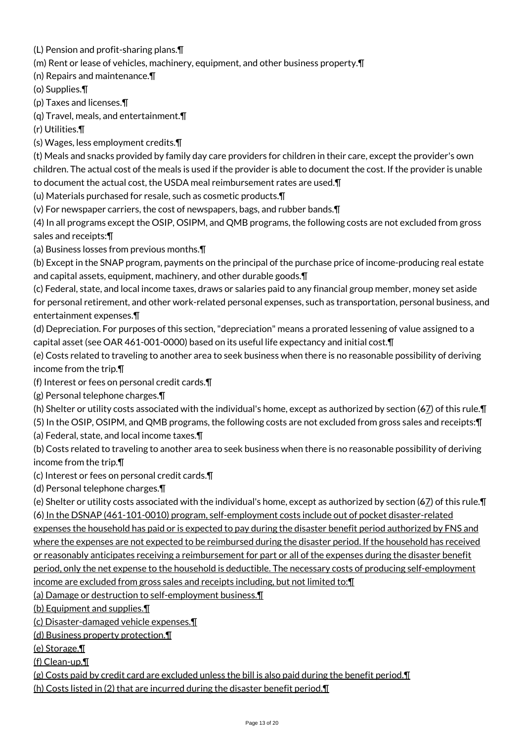(L) Pension and profit-sharing plans.¶

(m) Rent or lease of vehicles, machinery, equipment, and other business property.¶

(n) Repairs and maintenance.¶

(o) Supplies.¶

(p) Taxes and licenses.¶

(q) Travel, meals, and entertainment.¶

(r) Utilities.¶

(s) Wages, less employment credits.¶

(t) Meals and snacks provided by family day care providers for children in their care, except the provider's own children. The actual cost of the meals is used if the provider is able to document the cost. If the provider is unable to document the actual cost, the USDA meal reimbursement rates are used.¶

(u) Materials purchased for resale, such as cosmetic products.¶

(v) For newspaper carriers, the cost of newspapers, bags, and rubber bands.¶

(4) In all programs except the OSIP, OSIPM, and QMB programs, the following costs are not excluded from gross sales and receipts:¶

(a) Business losses from previous months.¶

(b) Except in the SNAP program, payments on the principal of the purchase price of income-producing real estate and capital assets, equipment, machinery, and other durable goods.¶

(c) Federal, state, and local income taxes, draws or salaries paid to any financial group member, money set aside for personal retirement, and other work-related personal expenses, such as transportation, personal business, and entertainment expenses.¶

(d) Depreciation. For purposes of this section, "depreciation" means a prorated lessening of value assigned to a capital asset (see OAR 461-001-0000) based on its useful life expectancy and initial cost.¶

(e) Costs related to traveling to another area to seek business when there is no reasonable possibility of deriving income from the trip.¶

(f) Interest or fees on personal credit cards.¶

(g) Personal telephone charges.¶

(h) Shelter or utility costs associated with the individual's home, except as authorized by section ( $67$ ) of this rule. $\P$ 

(5) In the OSIP, OSIPM, and QMB programs, the following costs are not excluded from gross sales and receipts:¶

(a) Federal, state, and local income taxes.¶

(b) Costs related to traveling to another area to seek business when there is no reasonable possibility of deriving income from the trip.¶

(c) Interest or fees on personal credit cards.¶

(d) Personal telephone charges.¶

(e) Shelter or utility costs associated with the individual's home, except as authorized by section  $(6Z)$  of this rule. $\P$ (6) In the DSNAP (461-101-0010) program, self-employment costs include out of pocket disaster-related expenses the household has paid or is expected to pay during the disaster benefit period authorized by FNS and where the expenses are not expected to be reimbursed during the disaster period. If the household has received

or reasonably anticipates receiving a reimbursement for part or all of the expenses during the disaster benefit

period, only the net expense to the household is deductible. The necessary costs of producing self-employment income are excluded from gross sales and receipts including, but not limited to:¶

(a) Damage or destruction to self-employment business.¶

(b) Equipment and supplies.¶

(c) Disaster-damaged vehicle expenses.¶

(d) Business property protection.¶

(e) Storage.¶

(f) Clean-up.¶

 $(g)$  Costs paid by credit card are excluded unless the bill is also paid during the benefit period. $\P$ 

(h) Costs listed in (2) that are incurred during the disaster benefit period.¶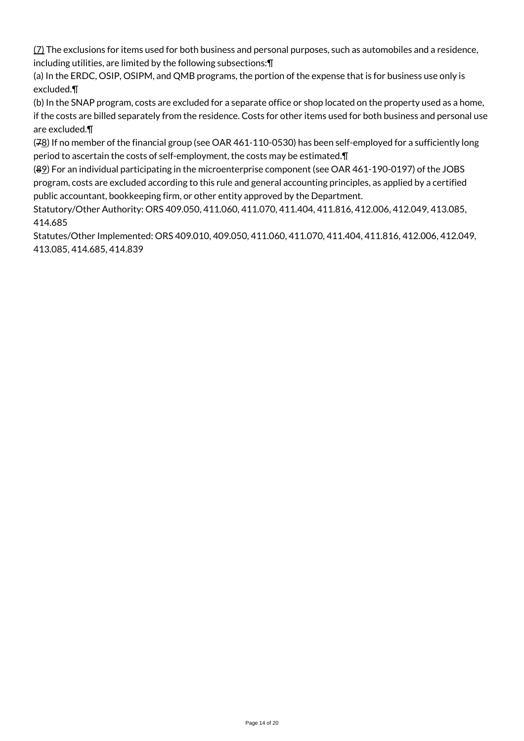(7) The exclusions for items used for both business and personal purposes, such as automobiles and a residence, including utilities, are limited by the following subsections:¶

(a) In the ERDC, OSIP, OSIPM, and QMB programs, the portion of the expense that is for business use only is excluded.¶

(b) In the SNAP program, costs are excluded for a separate office or shop located on the property used as a home, if the costs are billed separately from the residence. Costs for other items used for both business and personal use are excluded.¶

(78) If no member of the financial group (see OAR 461-110-0530) has been self-employed for a sufficiently long period to ascertain the costs of self-employment, the costs may be estimated.¶

(89) For an individual participating in the microenterprise component (see OAR 461-190-0197) of the JOBS program, costs are excluded according to this rule and general accounting principles, as applied by a certified public accountant, bookkeeping firm, or other entity approved by the Department.

Statutory/Other Authority: ORS 409.050, 411.060, 411.070, 411.404, 411.816, 412.006, 412.049, 413.085, 414.685

Statutes/Other Implemented: ORS 409.010, 409.050, 411.060, 411.070, 411.404, 411.816, 412.006, 412.049, 413.085, 414.685, 414.839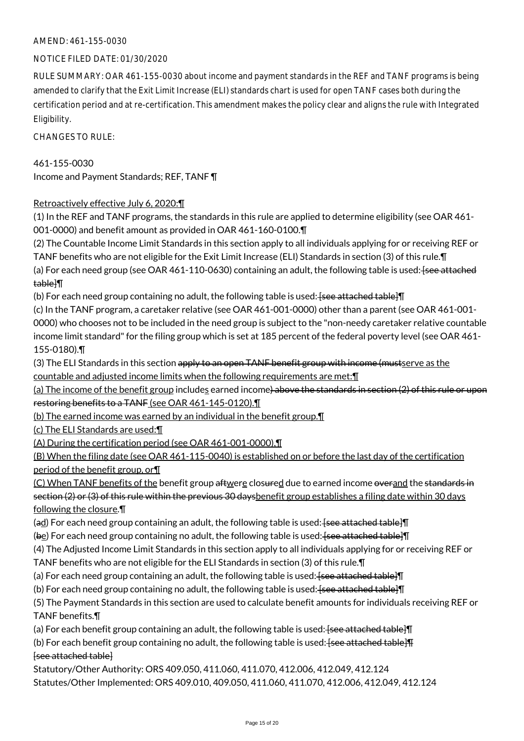## AMEND: 461-155-0030

## NOTICE FILED DATE: 01/30/2020

RULE SUMMARY: OAR 461-155-0030 about income and payment standards in the REF and TANF programs is being amended to clarify that the Exit Limit Increase (ELI) standards chart is used for open TANF cases both during the certification period and at re-certification. This amendment makes the policy clear and aligns the rule with Integrated Eligibility.

CHANGES TO RULE:

461-155-0030 Income and Payment Standards; REF, TANF ¶

# Retroactively effective July 6, 2020:¶

(1) In the REF and TANF programs, the standards in this rule are applied to determine eligibility (see OAR 461- 001-0000) and benefit amount as provided in OAR 461-160-0100.¶

(2) The Countable Income Limit Standards in this section apply to all individuals applying for or receiving REF or TANF benefits who are not eligible for the Exit Limit Increase (ELI) Standards in section (3) of this rule.¶ (a) For each need group (see OAR  $461-110-0630$ ) containing an adult, the following table is used:  $\frac{1}{2}$  see attached table]¶

(b) For each need group containing no adult, the following table is used:  $\frac{1}{2}$  fsee attached table I

(c) In the TANF program, a caretaker relative (see OAR 461-001-0000) other than a parent (see OAR 461-001- 0000) who chooses not to be included in the need group is subject to the "non-needy caretaker relative countable income limit standard" for the filing group which is set at 185 percent of the federal poverty level (see OAR 461- 155-0180).¶

(3) The ELI Standards in this section apply to an open TANF benefit group with income (mustserve as the countable and adjusted income limits when the following requirements are met:¶

(a) The income of the benefit group includes earned income) above the standards in section (2) of this rule or upon restoring benefits to a TANF (see OAR 461-145-0120).¶

(b) The earned income was earned by an individual in the benefit group.¶

(c) The ELI Standards are used:¶

(A) During the certification period (see OAR 461-001-0000),¶

(B) When the filing date (see OAR 461-115-0040) is established on or before the last day of the certification period of the benefit group, or¶

(C) When TANF benefits of the benefit group aftwere closured due to earned income overand the standards in section (2) or (3) of this rule within the previous 30 daysbenefit group establishes a filing date within 30 days following the closure.¶

 $\text{ad}$ ) For each need group containing an adult, the following table is used: <del>[see attached table]</del>

(be) For each need group containing no adult, the following table is used: [see attached table]

(4) The Adjusted Income Limit Standards in this section apply to all individuals applying for or receiving REF or

TANF benefits who are not eligible for the ELI Standards in section (3) of this rule.¶

(a) For each need group containing an adult, the following table is used: [see attached table]

(b) For each need group containing no adult, the following table is used:  $\frac{1}{2}$  feee attached table  $\P$ 

(5) The Payment Standards in this section are used to calculate benefit amounts for individuals receiving REF or TANF benefits.¶

(a) For each benefit group containing an adult, the following table is used:  $\frac{1}{2}$  see attached table  $\P$ 

(b) For each benefit group containing no adult, the following table is used:  $\frac{1}{2}$  see attached table  $\frac{1}{2}$ [see attached table]

Statutory/Other Authority: ORS 409.050, 411.060, 411.070, 412.006, 412.049, 412.124 Statutes/Other Implemented: ORS 409.010, 409.050, 411.060, 411.070, 412.006, 412.049, 412.124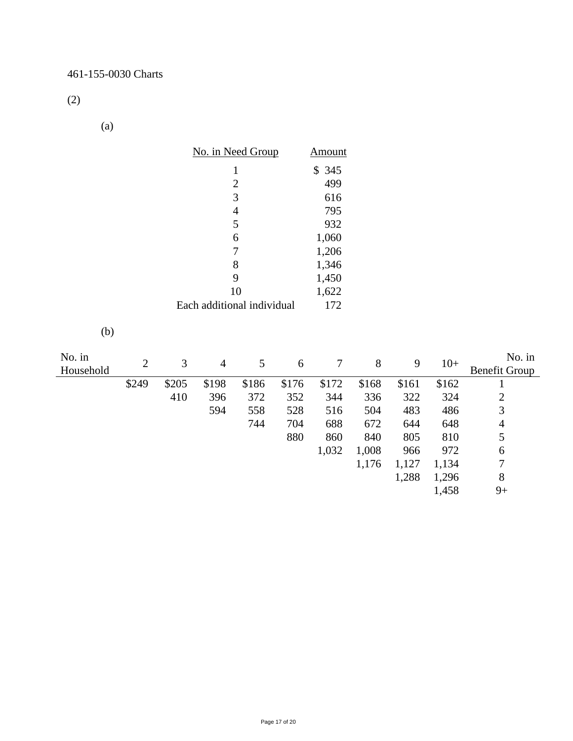(2)

(a)

|                     |                | No. in Need Group |                            |                |       | <b>Amount</b> |       |       |       |                                |
|---------------------|----------------|-------------------|----------------------------|----------------|-------|---------------|-------|-------|-------|--------------------------------|
|                     |                |                   | $\mathbf{1}$               |                |       | \$345         |       |       |       |                                |
|                     |                |                   |                            | $\overline{c}$ |       | 499           |       |       |       |                                |
|                     |                |                   |                            | 3              |       | 616           |       |       |       |                                |
|                     |                |                   |                            | $\overline{4}$ |       | 795           |       |       |       |                                |
|                     |                |                   |                            | 5              |       | 932           |       |       |       |                                |
|                     |                |                   |                            | 6              |       | 1,060         |       |       |       |                                |
|                     |                |                   |                            | $\overline{7}$ |       | 1,206         |       |       |       |                                |
|                     |                |                   |                            | $8\,$          |       | 1,346         |       |       |       |                                |
|                     |                |                   |                            | 9              |       | 1,450         |       |       |       |                                |
|                     |                |                   |                            | 10             |       | 1,622         |       |       |       |                                |
|                     |                |                   | Each additional individual |                |       | 172           |       |       |       |                                |
| (b)                 |                |                   |                            |                |       |               |       |       |       |                                |
| No. in<br>Household | $\mathfrak{2}$ | 3                 | $\overline{4}$             | 5              | 6     | $\tau$        | $8\,$ | 9     | $10+$ | No. in<br><b>Benefit Group</b> |
|                     | \$249          | \$205             | \$198                      | \$186          | \$176 | \$172         | \$168 | \$161 | \$162 | $\mathbf{1}$                   |
|                     |                | 410               | 396                        | 372            | 352   | 344           | 336   | 322   | 324   | $\frac{2}{3}$                  |
|                     |                |                   | 594                        | 558            | 528   | 516           | 504   | 483   | 486   |                                |
|                     |                |                   |                            | 744            | 704   | 688           | 672   | 644   | 648   | $\overline{4}$                 |
|                     |                |                   |                            |                | 880   | 860           | 840   | 805   | 810   | 5                              |
|                     |                |                   |                            |                |       | 1,032         | 1,008 | 966   | 972   | $\sqrt{6}$                     |
|                     |                |                   |                            |                |       |               | 1,176 | 1,127 | 1,134 | $\boldsymbol{7}$               |
|                     |                |                   |                            |                |       |               |       | 1,288 | 1,296 | $\,8\,$                        |
|                     |                |                   |                            |                |       |               |       |       | 1,458 | $9+$                           |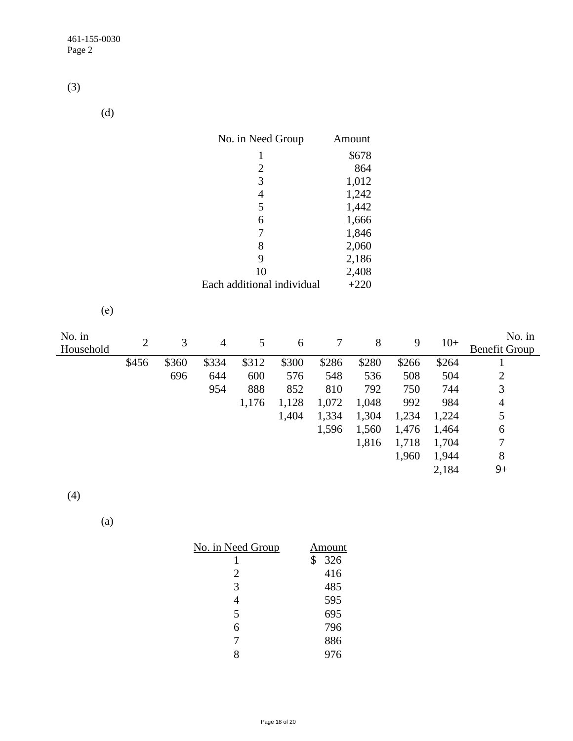(3)

(d)

| No. in Need Group          | Amount |
|----------------------------|--------|
| 1                          | \$678  |
| 2                          | 864    |
| 3                          | 1,012  |
| 4                          | 1,242  |
| 5                          | 1,442  |
| 6                          | 1,666  |
| 7                          | 1,846  |
| 8                          | 2,060  |
| 9                          | 2,186  |
| 10                         | 2,408  |
| Each additional individual | $+220$ |

(e)

| No. in<br>Household | $\overline{2}$ | 3     | $\overline{4}$ | 5     | 6     |       | 8     | 9     | $10+$ | No. in<br><b>Benefit Group</b> |
|---------------------|----------------|-------|----------------|-------|-------|-------|-------|-------|-------|--------------------------------|
|                     | \$456          | \$360 | \$334          | \$312 | \$300 | \$286 | \$280 | \$266 | \$264 |                                |
|                     |                | 696   | 644            | 600   | 576   | 548   | 536   | 508   | 504   | $\overline{2}$                 |
|                     |                |       | 954            | 888   | 852   | 810   | 792   | 750   | 744   | 3                              |
|                     |                |       |                | 1,176 | 1,128 | 1,072 | 1,048 | 992   | 984   | 4                              |
|                     |                |       |                |       | 1,404 | 1,334 | 1,304 | 1,234 | 1,224 | 5                              |
|                     |                |       |                |       |       | 1,596 | 1,560 | 1,476 | 1,464 | 6                              |
|                     |                |       |                |       |       |       | 1,816 | 1,718 | 1,704 | 7                              |
|                     |                |       |                |       |       |       |       | 1,960 | 1,944 | 8                              |
|                     |                |       |                |       |       |       |       |       | 2,184 | $9+$                           |

(4)

(a)

| <u>No. in Need Group</u> | Amount    |
|--------------------------|-----------|
|                          | \$<br>326 |
| $\overline{2}$           | 416       |
| 3                        | 485       |
| 4                        | 595       |
| 5                        | 695       |
| 6                        | 796       |
| 7                        | 886       |
|                          | 976       |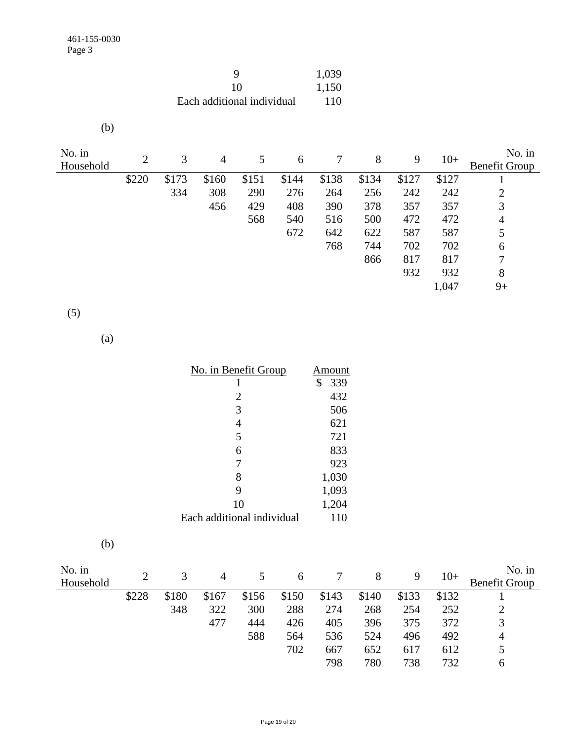| Q                          | 1,039 |
|----------------------------|-------|
| 10                         | 1,150 |
| Each additional individual | 110   |

| No. in    | 2     | 3     |       | 5     |       |       | 8     | 9     | $10+$ | No. in               |
|-----------|-------|-------|-------|-------|-------|-------|-------|-------|-------|----------------------|
| Household |       |       | 4     |       | 6     |       |       |       |       | <b>Benefit Group</b> |
|           | \$220 | \$173 | \$160 | \$151 | \$144 | \$138 | \$134 | \$127 | \$127 |                      |
|           |       | 334   | 308   | 290   | 276   | 264   | 256   | 242   | 242   | $\overline{2}$       |
|           |       |       | 456   | 429   | 408   | 390   | 378   | 357   | 357   | 3                    |
|           |       |       |       | 568   | 540   | 516   | 500   | 472   | 472   | 4                    |
|           |       |       |       |       | 672   | 642   | 622   | 587   | 587   | 5                    |
|           |       |       |       |       |       | 768   | 744   | 702   | 702   | 6                    |
|           |       |       |       |       |       |       | 866   | 817   | 817   | 7                    |
|           |       |       |       |       |       |       |       | 932   | 932   | 8                    |
|           |       |       |       |       |       |       |       |       | 1,047 | $9+$                 |

(5)

(a)

| No. in Benefit Group       | Amount    |
|----------------------------|-----------|
| 1                          | \$<br>339 |
| 2                          | 432       |
| 3                          | 506       |
| $\overline{4}$             | 621       |
| 5                          | 721       |
| 6                          | 833       |
| 7                          | 923       |
| 8                          | 1,030     |
| 9                          | 1,093     |
| 10                         | 1,204     |
| Each additional individual | 110       |

| I |  |
|---|--|

| No. in<br>Household |       | 3     | 4     |       | 6     |       | 8     | 9     | $10+$ | No. in<br><b>Benefit Group</b> |
|---------------------|-------|-------|-------|-------|-------|-------|-------|-------|-------|--------------------------------|
|                     | \$228 | \$180 | \$167 | \$156 | \$150 | \$143 | \$140 | \$133 | \$132 |                                |
|                     |       | 348   | 322   | 300   | 288   | 274   | 268   | 254   | 252   |                                |
|                     |       |       | 477   | 444   | 426   | 405   | 396   | 375   | 372   | 3                              |
|                     |       |       |       | 588   | 564   | 536   | 524   | 496   | 492   | 4                              |
|                     |       |       |       |       | 702   | 667   | 652   | 617   | 612   |                                |
|                     |       |       |       |       |       | 798   | 780   | 738   | 732   | <sub>0</sub>                   |